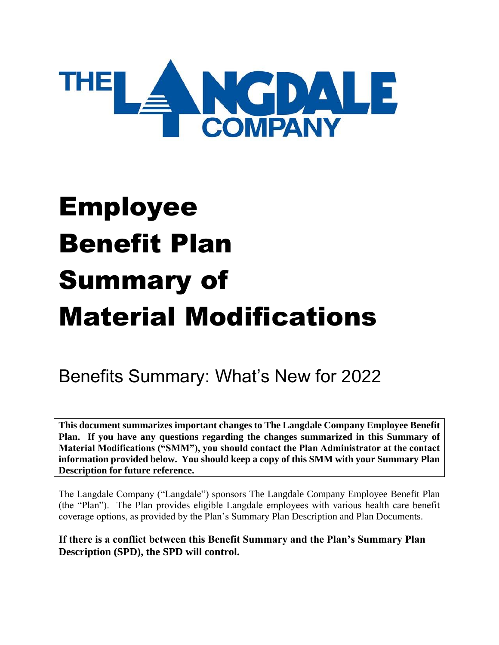

# Employee Benefit Plan Summary of Material Modifications

# Benefits Summary: What's New for 2022

**This document summarizes important changes to The Langdale Company Employee Benefit Plan. If you have any questions regarding the changes summarized in this Summary of Material Modifications ("SMM"), you should contact the Plan Administrator at the contact information provided below. You should keep a copy of this SMM with your Summary Plan Description for future reference.**

The Langdale Company ("Langdale") sponsors The Langdale Company Employee Benefit Plan (the "Plan"). The Plan provides eligible Langdale employees with various health care benefit coverage options, as provided by the Plan's Summary Plan Description and Plan Documents.

**If there is a conflict between this Benefit Summary and the Plan's Summary Plan Description (SPD), the SPD will control.**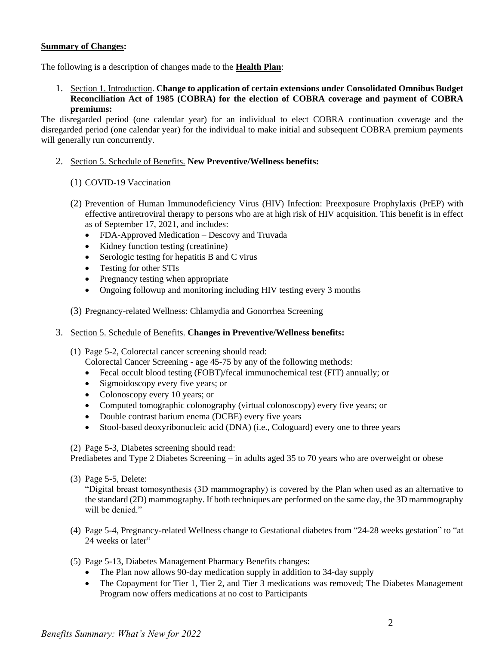#### **Summary of Changes:**

The following is a description of changes made to the **Health Plan**:

1. Section 1. Introduction. **Change to application of certain extensions under Consolidated Omnibus Budget Reconciliation Act of 1985 (COBRA) for the election of COBRA coverage and payment of COBRA premiums:**

The disregarded period (one calendar year) for an individual to elect COBRA continuation coverage and the disregarded period (one calendar year) for the individual to make initial and subsequent COBRA premium payments will generally run concurrently.

#### 2. Section 5. Schedule of Benefits. **New Preventive/Wellness benefits:**

- (1) COVID-19 Vaccination
- (2) Prevention of Human Immunodeficiency Virus (HIV) Infection: Preexposure Prophylaxis (PrEP) with effective antiretroviral therapy to persons who are at high risk of HIV acquisition. This benefit is in effect as of September 17, 2021, and includes:
	- FDA-Approved Medication Descovy and Truvada
	- Kidney function testing (creatinine)
	- Serologic testing for hepatitis B and C virus
	- Testing for other STIs
	- Pregnancy testing when appropriate
	- Ongoing followup and monitoring including HIV testing every 3 months
- (3) Pregnancy-related Wellness: Chlamydia and Gonorrhea Screening

#### 3. Section 5. Schedule of Benefits. **Changes in Preventive/Wellness benefits:**

- (1) Page 5-2, Colorectal cancer screening should read: Colorectal Cancer Screening - age 45-75 by any of the following methods:
	- Fecal occult blood testing (FOBT)/fecal immunochemical test (FIT) annually; or
	- Sigmoidoscopy every five years; or
	- Colonoscopy every 10 years; or
	- Computed tomographic colonography (virtual colonoscopy) every five years; or
	- Double contrast barium enema (DCBE) every five years
	- Stool-based deoxyribonucleic acid (DNA) (i.e., Cologuard) every one to three years

(2) Page 5-3, Diabetes screening should read:

Prediabetes and Type 2 Diabetes Screening – in adults aged 35 to 70 years who are overweight or obese

(3) Page 5-5, Delete:

"Digital breast tomosynthesis (3D mammography) is covered by the Plan when used as an alternative to the standard (2D) mammography. If both techniques are performed on the same day, the 3D mammography will be denied."

- (4) Page 5-4, Pregnancy-related Wellness change to Gestational diabetes from "24-28 weeks gestation" to "at 24 weeks or later"
- (5) Page 5-13, Diabetes Management Pharmacy Benefits changes:
	- The Plan now allows 90-day medication supply in addition to 34-day supply
	- The Copayment for Tier 1, Tier 2, and Tier 3 medications was removed; The Diabetes Management Program now offers medications at no cost to Participants